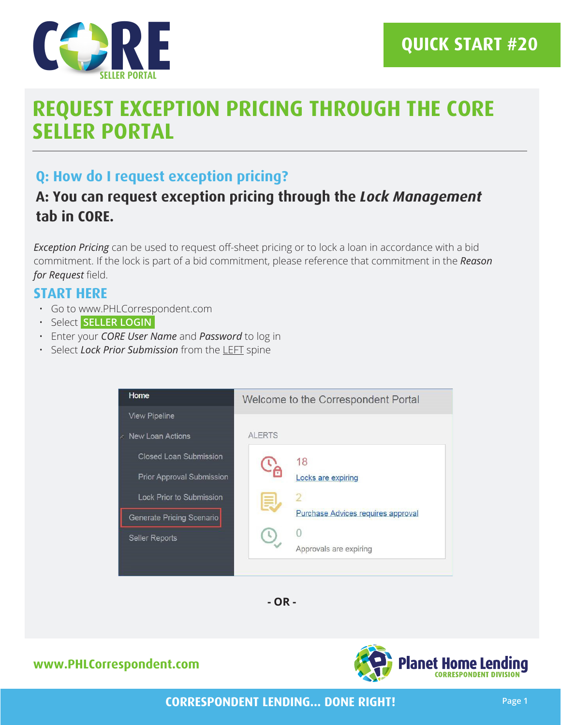

# **REQUEST EXCEPTION PRICING THROUGH THE CORE SELLER PORTAL**

### **Q: How do I request exception pricing?**

## **A: You can request exception pricing through the** *Lock Management* **tab in CORE.**

*Exception Pricing* can be used to request off-sheet pricing or to lock a loan in accordance with a bid commitment. If the lock is part of a bid commitment, please reference that commitment in the *Reason for Request* field.

#### **START HERE**

- Go to www.PHLCorrespondent.com
- Select **SELLER LOGIN**
- Enter your *CORE User Name* and *Password* to log in
- Select *Lock Prior Submission* from the LEFT spine





#### **www.PHLCorrespondent.com**



**CORRESPONDENT LENDING... DONE RIGHT!**